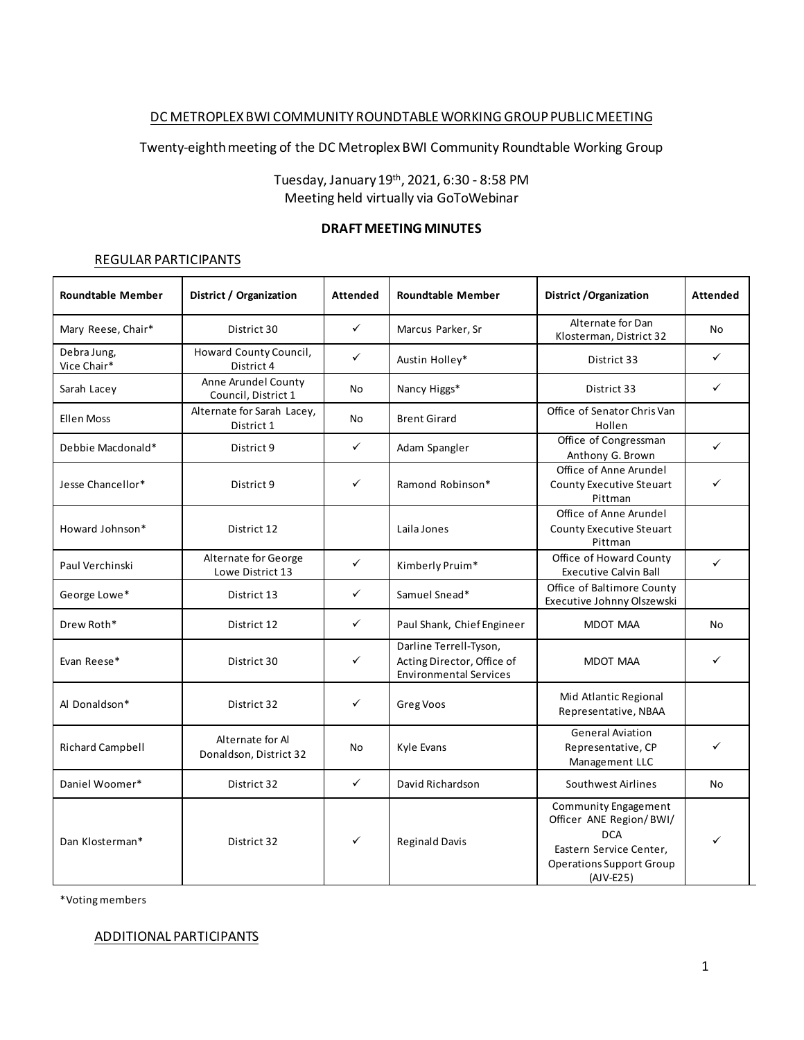# DC METROPLEX BWI COMMUNITY ROUNDTABLE WORKING GROUPPUBLIC MEETING

Twenty-eighthmeeting of the DC Metroplex BWI Community Roundtable Working Group

Tuesday, January 19th, 2021, 6:30 - 8:58 PM Meeting held virtually via GoToWebinar

#### **DRAFT MEETING MINUTES**

#### REGULAR PARTICIPANTS

| <b>Roundtable Member</b>   | District / Organization                    | <b>Attended</b> | <b>Roundtable Member</b>                                                              | District / Organization                                                                                                                    | <b>Attended</b> |
|----------------------------|--------------------------------------------|-----------------|---------------------------------------------------------------------------------------|--------------------------------------------------------------------------------------------------------------------------------------------|-----------------|
| Mary Reese, Chair*         | District 30                                | $\checkmark$    | Marcus Parker, Sr                                                                     | Alternate for Dan<br>Klosterman, District 32                                                                                               | No              |
| Debra Jung,<br>Vice Chair* | Howard County Council,<br>District 4       | $\checkmark$    | Austin Holley*                                                                        | District 33                                                                                                                                | ✓               |
| Sarah Lacey                | Anne Arundel County<br>Council, District 1 | No              | Nancy Higgs*                                                                          | District 33                                                                                                                                | ✓               |
| <b>Ellen Moss</b>          | Alternate for Sarah Lacey,<br>District 1   | No              | <b>Brent Girard</b>                                                                   | Office of Senator Chris Van<br>Hollen                                                                                                      |                 |
| Debbie Macdonald*          | District 9                                 | $\checkmark$    | Adam Spangler                                                                         | Office of Congressman<br>Anthony G. Brown                                                                                                  | ✓               |
| Jesse Chancellor*          | District 9                                 | ✓               | Ramond Robinson*                                                                      | Office of Anne Arundel<br>County Executive Steuart<br>Pittman                                                                              | ✓               |
| Howard Johnson*            | District 12                                |                 | Laila Jones                                                                           | Office of Anne Arundel<br>County Executive Steuart<br>Pittman                                                                              |                 |
| Paul Verchinski            | Alternate for George<br>Lowe District 13   | ✓               | Kimberly Pruim*                                                                       | Office of Howard County<br><b>Executive Calvin Ball</b>                                                                                    | ✓               |
| George Lowe*               | District 13                                | $\checkmark$    | Samuel Snead*                                                                         | Office of Baltimore County<br>Executive Johnny Olszewski                                                                                   |                 |
| Drew Roth*                 | District 12                                | $\checkmark$    | Paul Shank, Chief Engineer                                                            | MDOT MAA                                                                                                                                   | No              |
| Evan Reese*                | District 30                                | ✓               | Darline Terrell-Tyson,<br>Acting Director, Office of<br><b>Environmental Services</b> | MDOT MAA                                                                                                                                   |                 |
| Al Donaldson*              | District 32                                | ✓               | Greg Voos                                                                             | Mid Atlantic Regional<br>Representative, NBAA                                                                                              |                 |
| <b>Richard Campbell</b>    | Alternate for Al<br>Donaldson, District 32 | No              | Kyle Evans                                                                            | <b>General Aviation</b><br>Representative, CP<br>Management LLC                                                                            | ✓               |
| Daniel Woomer*             | District 32                                | $\checkmark$    | David Richardson                                                                      | Southwest Airlines                                                                                                                         | No              |
| Dan Klosterman*            | District 32                                | ✓               | <b>Reginald Davis</b>                                                                 | Community Engagement<br>Officer ANE Region/BWI/<br><b>DCA</b><br>Eastern Service Center,<br><b>Operations Support Group</b><br>$(AJV-E25)$ |                 |

\*Voting members

#### ADDITIONAL PARTICIPANTS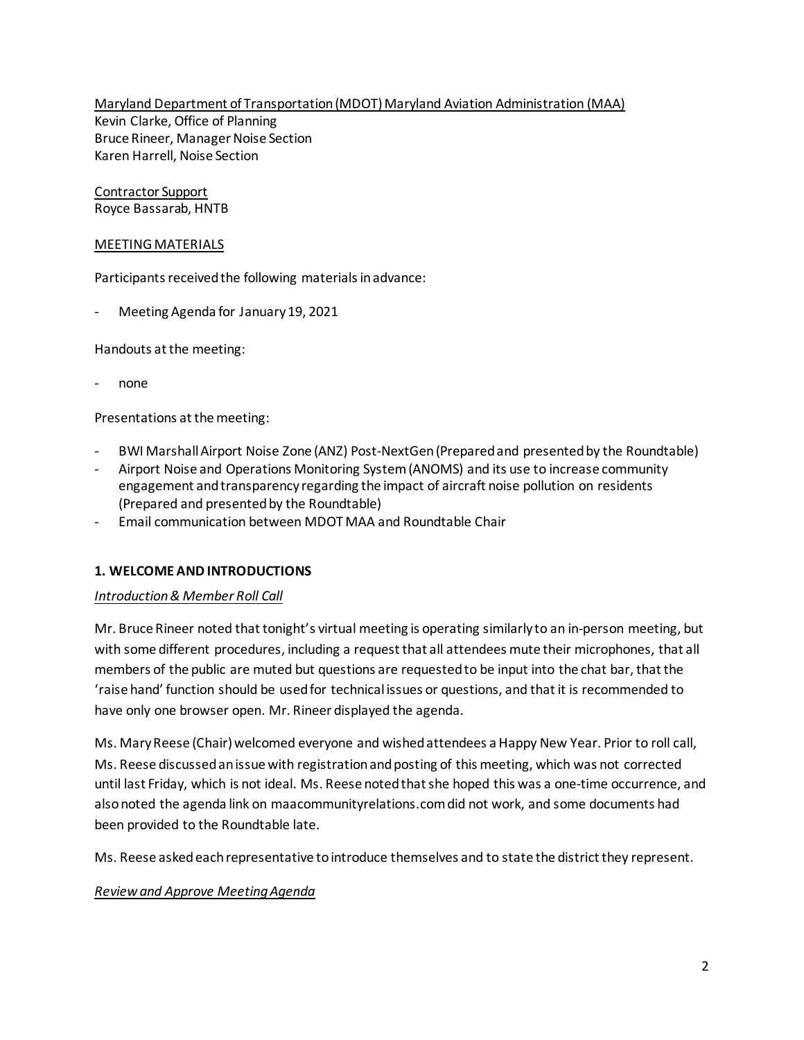Maryland Department of Transportation (MDOT) Maryland Aviation Administration (MAA) Kevin Clarke, Office of Planning Bruce Rineer, Manager Noise Section Karen Harrell, Noise Section

Contractor Support Royce Bassarab, HNTB

#### MEETING MATERIALS

Participants received the following materials in advance:

Meeting Agenda for January 19, 2021

Handouts at the meeting:

- none

Presentations at the meeting:

- BWI Marshall Airport Noise Zone (ANZ) Post-NextGen (Prepared and presented by the Roundtable)
- Airport Noise and Operations Monitoring System (ANOMS) and its use to increase community engagement and transparency regarding the impact of aircraft noise pollution on residents (Prepared and presented by the Roundtable)
- Email communication between MDOT MAA and Roundtable Chair

## **1. WELCOME AND INTRODUCTIONS**

#### *Introduction & Member Roll Call*

Mr. Bruce Rineer noted that tonight's virtual meeting is operating similarly to an in-person meeting, but with some different procedures, including a request that all attendees mute their microphones, that all members of the public are muted but questions are requested to be input into the chat bar, that the 'raise hand' function should be used for technical issues or questions, and that it is recommended to have only one browser open. Mr. Rineer displayed the agenda.

Ms. Mary Reese (Chair) welcomed everyone and wished attendees a Happy New Year. Prior to roll call, Ms. Reese discussed an issue with registration and posting of this meeting, which was not corrected until last Friday, which is not ideal. Ms. Reese noted that she hoped this was a one-time occurrence, and also noted the agenda link on maacommunityrelations.com did not work, and some documents had been provided to the Roundtable late.

Ms. Reese asked each representative to introduce themselves and to state the district they represent.

#### *Review and Approve Meeting Agenda*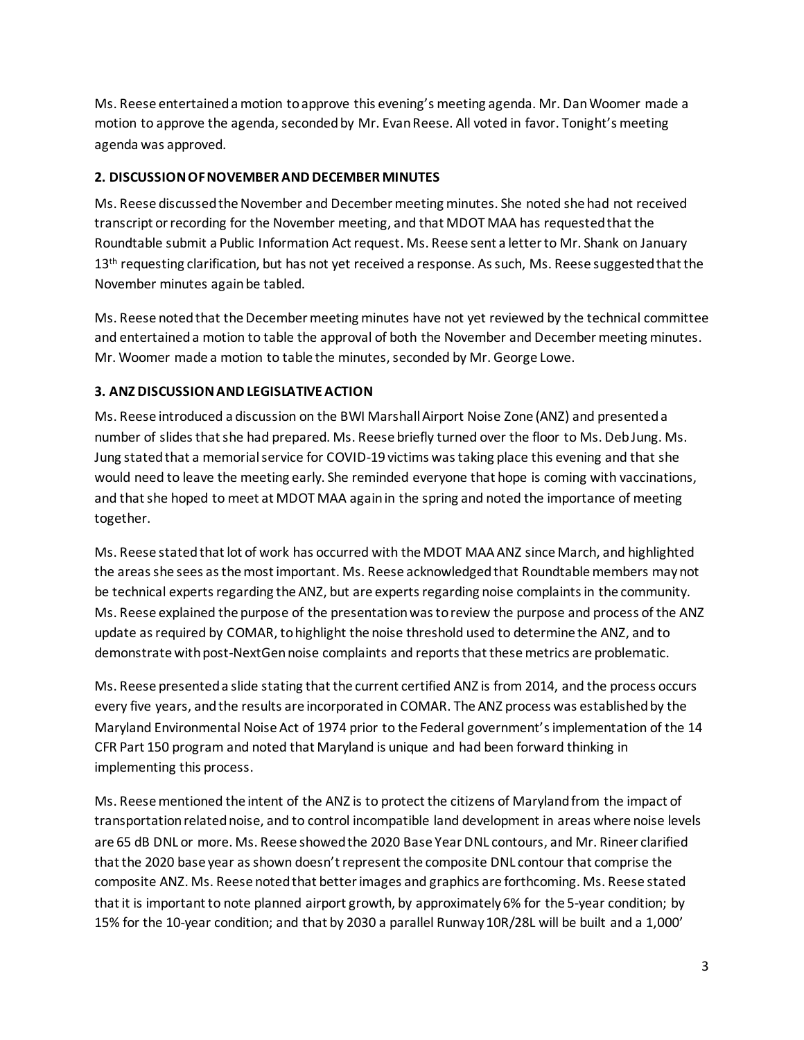Ms. Reese entertained a motion to approve this evening's meeting agenda. Mr. Dan Woomer made a motion to approve the agenda, seconded by Mr. Evan Reese. All voted in favor. Tonight's meeting agenda was approved.

# **2. DISCUSSION OF NOVEMBER AND DECEMBER MINUTES**

Ms. Reese discussed the November and December meeting minutes. She noted she had not received transcript or recording for the November meeting, and that MDOT MAA has requested that the Roundtable submit a Public Information Act request. Ms. Reese sent a letter to Mr. Shank on January 13<sup>th</sup> requesting clarification, but has not yet received a response. As such, Ms. Reese suggested that the November minutes again be tabled.

Ms. Reese noted that the December meeting minutes have not yet reviewed by the technical committee and entertained a motion to table the approval of both the November and December meeting minutes. Mr. Woomer made a motion to table the minutes, seconded by Mr. George Lowe.

# **3. ANZ DISCUSSIONAND LEGISLATIVE ACTION**

Ms. Reese introduced a discussion on the BWI Marshall Airport Noise Zone (ANZ) and presented a number of slides that she had prepared. Ms. Reese briefly turned over the floor to Ms. Deb Jung. Ms. Jung statedthat a memorial service for COVID-19 victims was taking place this evening and that she would need to leave the meeting early. She reminded everyone that hope is coming with vaccinations, and that she hoped to meet at MDOT MAA again in the spring and noted the importance of meeting together.

Ms. Reese statedthat lot of work has occurred with the MDOT MAA ANZ since March, and highlighted the areas she sees as the most important. Ms. Reese acknowledgedthat Roundtable members may not be technical experts regarding the ANZ, but are experts regarding noise complaints in the community. Ms. Reese explained the purpose of the presentation was to review the purpose and process of the ANZ update as required by COMAR, to highlight the noise threshold used to determine the ANZ, and to demonstrate with post-NextGen noise complaints and reports that these metrics are problematic.

Ms. Reese presented a slide stating that the current certified ANZ is from 2014, and the process occurs every five years, and the results are incorporated in COMAR. The ANZ process was established by the Maryland Environmental Noise Act of 1974 prior to the Federal government'simplementation of the 14 CFR Part 150 program and noted that Maryland is unique and had been forward thinking in implementing this process.

Ms. Reese mentioned the intent of the ANZ is to protect the citizens of Maryland from the impact of transportation related noise, and to control incompatible land development in areas where noise levels are 65 dB DNL or more. Ms. Reese showed the 2020 Base Year DNL contours, and Mr. Rineer clarified that the 2020 base year as shown doesn't represent the composite DNL contour that comprise the composite ANZ. Ms. Reese noted that better images and graphics are forthcoming. Ms. Reese stated that it is important to note planned airport growth, by approximately 6% for the 5-year condition; by 15% for the 10-year condition; and that by 2030 a parallel Runway 10R/28L will be built and a 1,000'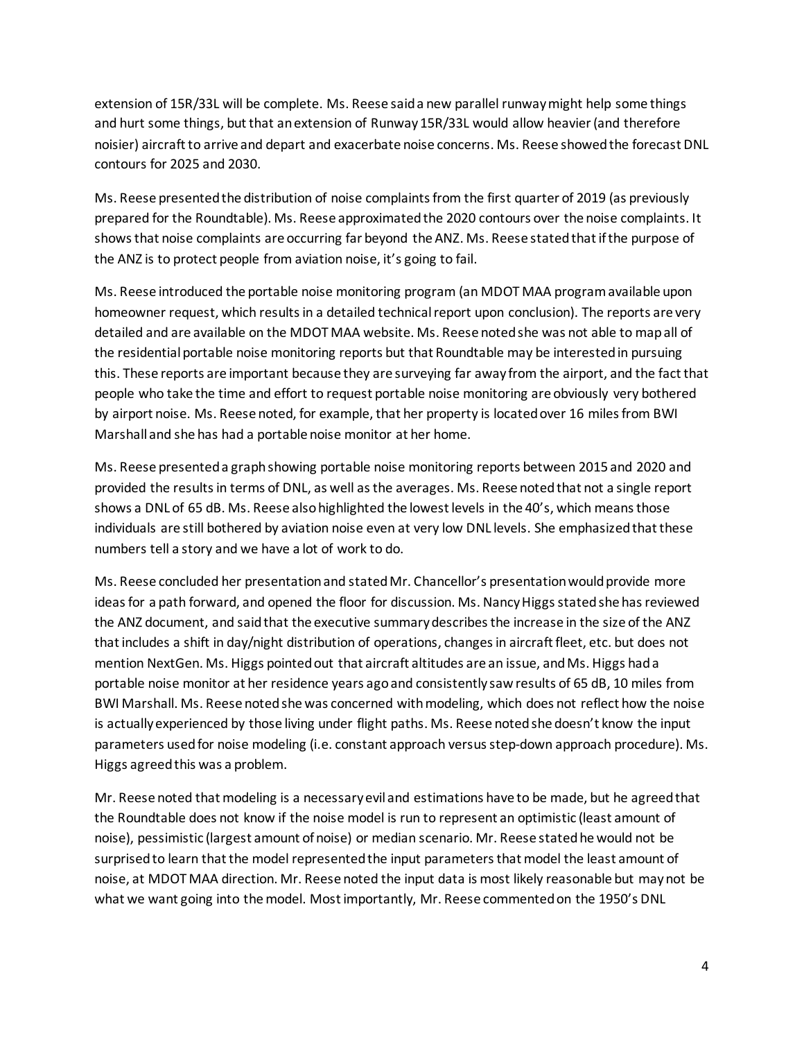extension of 15R/33L will be complete. Ms. Reese saida new parallel runway might help some things and hurt some things, but that an extension of Runway 15R/33L would allow heavier (and therefore noisier) aircraft to arrive and depart and exacerbate noise concerns. Ms. Reese showed the forecast DNL contours for 2025 and 2030.

Ms. Reese presentedthe distribution of noise complaints from the first quarter of 2019 (as previously prepared for the Roundtable). Ms. Reese approximated the 2020 contours over the noise complaints. It shows that noise complaints are occurring far beyond the ANZ. Ms. Reese stated that if the purpose of the ANZ is to protect people from aviation noise, it's going to fail.

Ms. Reese introduced the portable noise monitoring program (an MDOT MAA program available upon homeowner request, which results in a detailed technical report upon conclusion). The reports are very detailed and are available on the MDOT MAA website. Ms. Reese noted she was not able to map all of the residential portable noise monitoring reports but that Roundtable may be interested in pursuing this. These reports are important because they are surveying far away from the airport, and the fact that people who take the time and effort to request portable noise monitoring are obviously very bothered by airport noise. Ms. Reese noted, for example, that her property is located over 16 miles from BWI Marshall and she has had a portable noise monitor at her home.

Ms. Reese presented a graph showing portable noise monitoring reports between 2015 and 2020 and provided the results in terms of DNL, as well asthe averages. Ms. Reese noted that not a single report shows a DNL of 65 dB. Ms. Reese also highlighted the lowest levels in the 40's, which means those individuals are still bothered by aviation noise even at very low DNL levels. She emphasized that these numbers tell a story and we have a lot of work to do.

Ms. Reese concluded her presentationand stated Mr. Chancellor's presentation would provide more ideas for a path forward, and opened the floor for discussion. Ms. Nancy Higgs stated she has reviewed the ANZ document, and said that the executive summary describes the increase in the size of the ANZ that includes a shift in day/night distribution of operations, changes in aircraft fleet, etc. but does not mention NextGen. Ms. Higgs pointed out that aircraft altitudes are an issue, and Ms. Higgs had a portable noise monitor at her residence years ago and consistently saw results of 65 dB, 10 miles from BWI Marshall. Ms. Reese noted she was concerned with modeling, which does not reflect how the noise is actually experienced by those living under flight paths. Ms. Reese noted she doesn't know the input parameters used for noise modeling (i.e. constant approach versus step-down approach procedure). Ms. Higgs agreed this was a problem.

Mr. Reese noted that modeling is a necessary evil and estimations have to be made, but he agreed that the Roundtable does not know if the noise model is run to represent an optimistic (least amount of noise), pessimistic (largest amount of noise) or median scenario. Mr. Reese stated he would not be surprised to learn that the model represented the input parameters that model the least amount of noise, at MDOT MAA direction. Mr. Reese noted the input data is most likely reasonable but may not be what we want going into the model. Most importantly, Mr. Reese commented on the 1950's DNL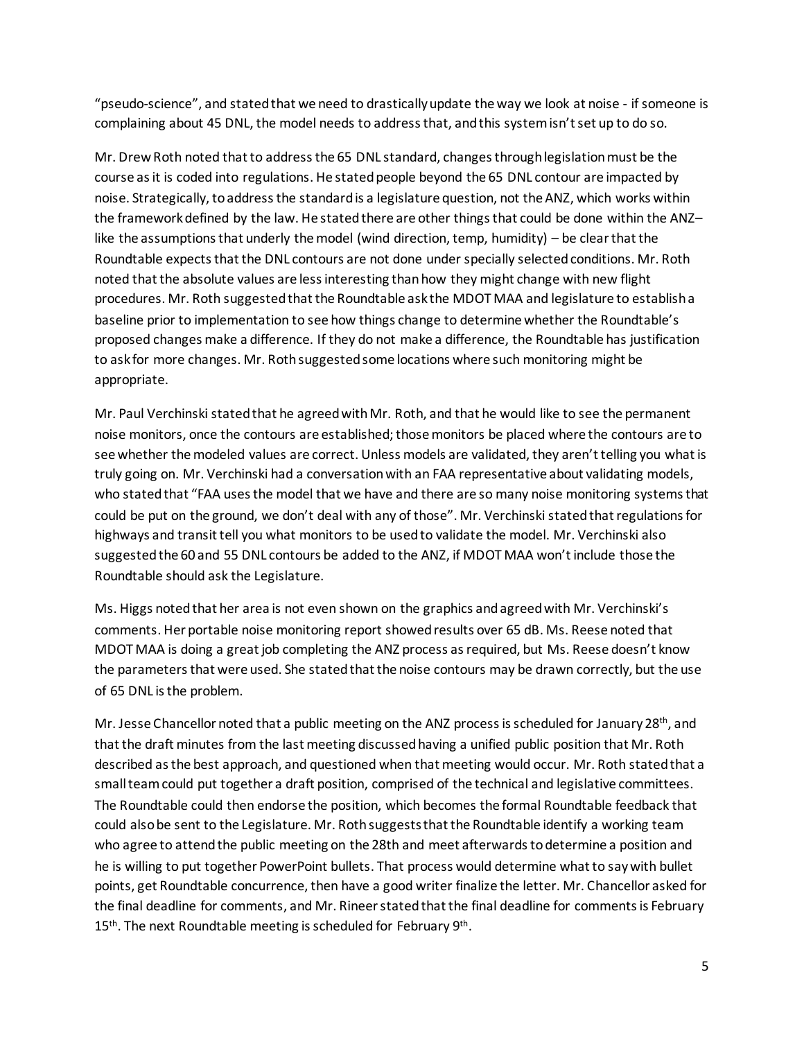"pseudo-science", and stated that we need to drastically update the way we look at noise - if someone is complaining about 45 DNL, the model needs to address that, and this system isn't set up to do so.

Mr. Drew Roth noted that to address the 65 DNL standard, changes through legislationmust be the course as it is coded into regulations. He stated people beyond the 65 DNL contour are impacted by noise. Strategically, to address the standard is a legislature question, not the ANZ, which works within the framework defined by the law. He stated there are other things that could be done within the ANZ– like the assumptions that underly the model (wind direction, temp, humidity) – be clear that the Roundtable expects that the DNL contours are not done under specially selected conditions. Mr. Roth noted that the absolute values are less interesting than how they might change with new flight procedures. Mr. Roth suggestedthat the Roundtable ask the MDOT MAA and legislature to establisha baseline prior to implementation to see how things change to determine whether the Roundtable's proposed changes make a difference. If they do not make a difference, the Roundtable has justification to ask for more changes. Mr. Roth suggested some locations where such monitoring might be appropriate.

Mr. Paul Verchinski stated that he agreed with Mr. Roth, and that he would like to see the permanent noise monitors, once the contours are established; those monitors be placed where the contours are to see whether the modeled values are correct. Unless models are validated, they aren't telling you what is truly going on. Mr. Verchinski had a conversation with an FAA representative about validating models, who stated that "FAA uses the model that we have and there are so many noise monitoring systems that could be put on the ground, we don't deal with any of those". Mr. Verchinski stated that regulations for highways and transit tell you what monitors to be used to validate the model. Mr. Verchinski also suggestedthe 60 and 55 DNL contours be added to the ANZ, if MDOT MAA won't include those the Roundtable should ask the Legislature.

Ms. Higgs noted that her area is not even shown on the graphics and agreed with Mr. Verchinski's comments. Her portable noise monitoring report showed results over 65 dB. Ms. Reese noted that MDOT MAA is doing a great job completing the ANZ process as required, but Ms. Reese doesn't know the parameters that were used. She stated that the noise contours may be drawn correctly, but the use of 65 DNL is the problem.

Mr. Jesse Chancellor noted that a public meeting on the ANZ process is scheduled for January 28<sup>th</sup>, and that the draft minutes from the last meeting discussed having a unified public position that Mr. Roth described as the best approach, and questioned when that meeting would occur. Mr. Roth stated that a small team could put together a draft position, comprised of the technical and legislative committees. The Roundtable could then endorse the position, which becomes the formal Roundtable feedback that could also be sent to the Legislature. Mr. Roth suggests that the Roundtable identify a working team who agree to attend the public meeting on the 28th and meet afterwards to determine a position and he is willing to put together PowerPoint bullets. That process would determine what to say with bullet points, get Roundtable concurrence, then have a good writer finalize the letter. Mr. Chancellor asked for the final deadline for comments, and Mr. Rineer stated that the final deadline for comments is February 15<sup>th</sup>. The next Roundtable meeting is scheduled for February 9<sup>th</sup>.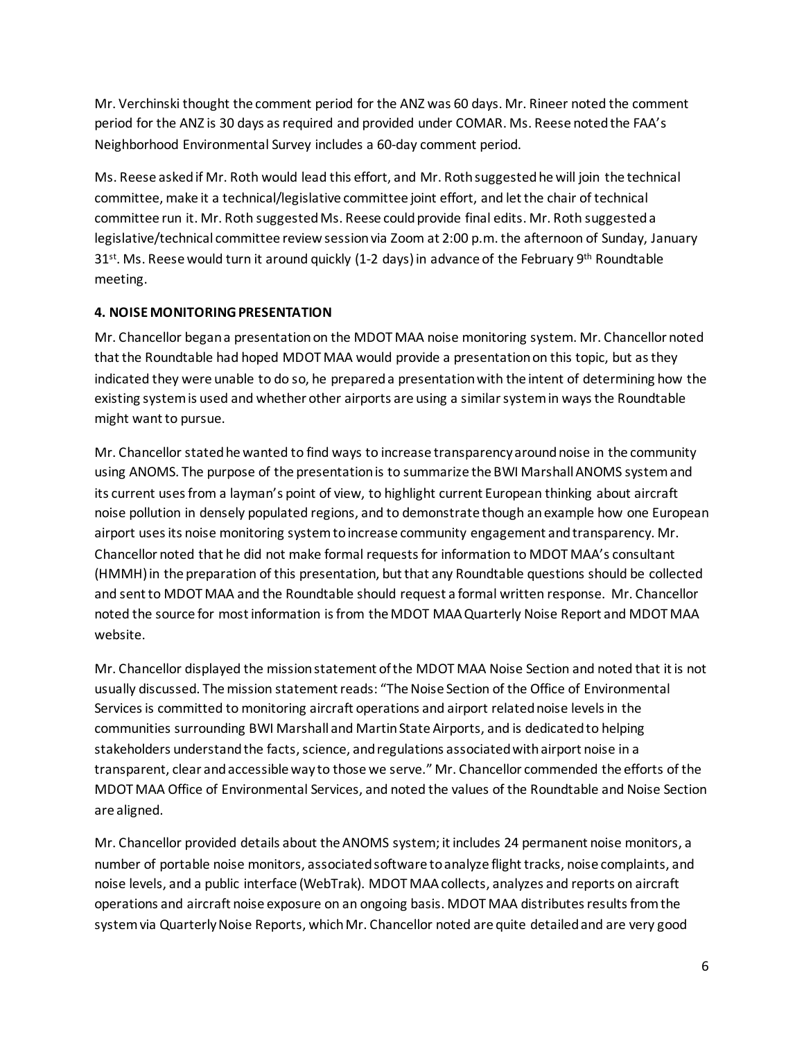Mr. Verchinski thought the comment period for the ANZ was 60 days. Mr. Rineer noted the comment period for the ANZ is 30 days as required and provided under COMAR. Ms. Reese noted the FAA's Neighborhood Environmental Survey includes a 60-day comment period.

Ms. Reese asked if Mr. Roth would lead this effort, and Mr. Roth suggested he will join the technical committee, make it a technical/legislative committee joint effort, and let the chair of technical committee run it. Mr. Roth suggested Ms. Reese could provide final edits. Mr. Roth suggested a legislative/technical committee review session via Zoom at 2:00 p.m. the afternoon of Sunday, January 31<sup>st</sup>. Ms. Reese would turn it around quickly (1-2 days) in advance of the February 9<sup>th</sup> Roundtable meeting.

## **4. NOISE MONITORING PRESENTATION**

Mr. Chancellor began a presentation on the MDOT MAA noise monitoring system. Mr. Chancellor noted that the Roundtable had hoped MDOT MAA would provide a presentationon this topic, but as they indicated they were unable to do so, he prepared a presentation with the intent of determining how the existing system is used and whether other airports are using a similar system in ways the Roundtable might want to pursue.

Mr. Chancellor stated he wanted to find ways to increase transparency around noise in the community using ANOMS. The purpose of the presentation is to summarize the BWI Marshall ANOMS system and its current uses from a layman's point of view, to highlight current European thinking about aircraft noise pollution in densely populated regions, and to demonstrate though an example how one European airport uses its noise monitoring system to increase community engagement and transparency. Mr. Chancellor noted that he did not make formal requests for information to MDOT MAA's consultant (HMMH) in the preparation of this presentation, but that any Roundtable questions should be collected and sentto MDOT MAA and the Roundtable should request a formal written response. Mr. Chancellor noted the source for most information is from the MDOT MAA Quarterly Noise Report and MDOT MAA website.

Mr. Chancellor displayed the mission statement of the MDOT MAA Noise Section and noted that it is not usually discussed. The mission statement reads: "The Noise Section of the Office of Environmental Services is committed to monitoring aircraft operations and airport related noise levels in the communities surrounding BWI Marshall and Martin State Airports, and is dedicated to helping stakeholders understand the facts, science, and regulations associated with airport noise in a transparent, clear and accessible way to those we serve." Mr. Chancellor commended the efforts of the MDOT MAA Office of Environmental Services, and noted the values of the Roundtable and Noise Section are aligned.

Mr. Chancellor provided details about theANOMS system; it includes 24 permanent noise monitors, a number of portable noise monitors, associated software to analyze flight tracks, noise complaints, and noise levels, and a public interface (WebTrak). MDOT MAA collects, analyzes and reports on aircraft operations and aircraft noise exposure on an ongoing basis. MDOT MAA distributes results from the system via Quarterly Noise Reports, which Mr. Chancellor noted are quite detailed and are very good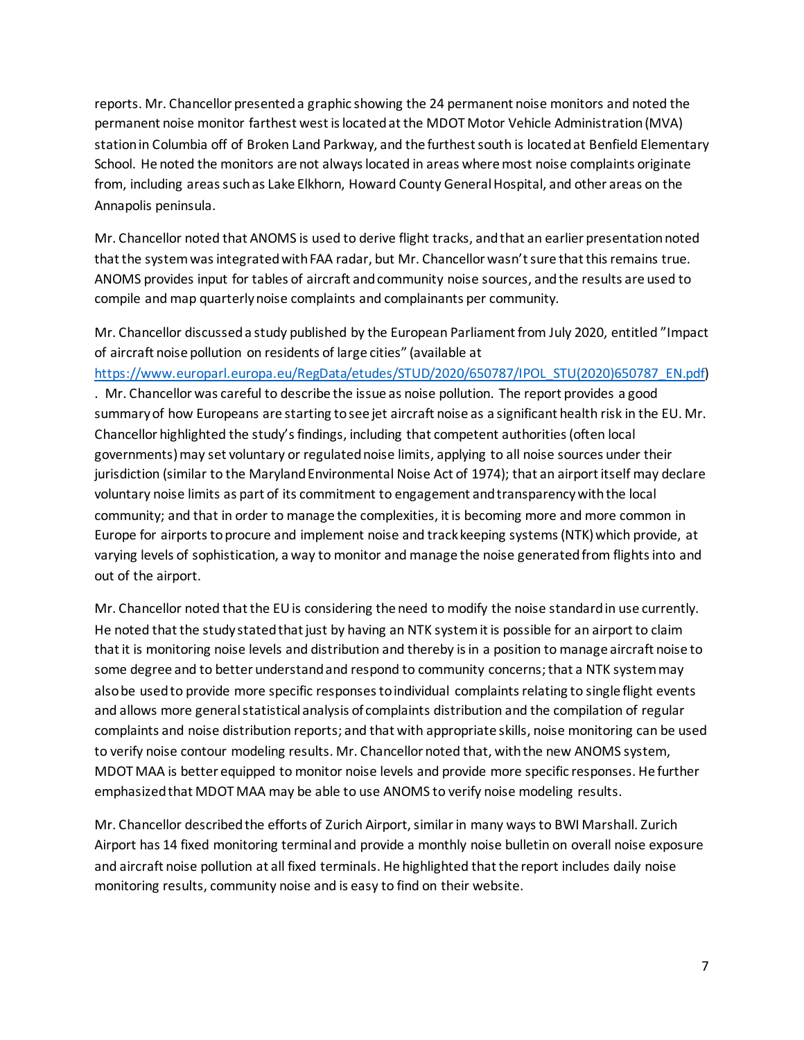reports. Mr. Chancellor presented a graphic showing the 24 permanent noise monitors and noted the permanent noise monitor farthest west is located at the MDOT Motor Vehicle Administration (MVA) station in Columbia off of Broken Land Parkway, and the furthestsouth is located at Benfield Elementary School. He noted the monitors are not always located in areas where most noise complaints originate from, including areas such as Lake Elkhorn, Howard County GeneralHospital, and other areas on the Annapolis peninsula.

Mr. Chancellor noted that ANOMS is used to derive flight tracks, and that an earlier presentationnoted that the system was integrated with FAA radar, but Mr. Chancellor wasn't sure that this remains true. ANOMS provides input for tables of aircraft and community noise sources, and the results are used to compile and map quarterly noise complaints and complainants per community.

Mr. Chancellor discussed a study published by the European Parliament from July 2020, entitled "Impact of aircraft noise pollution on residents of large cities" (available at

[https://www.europarl.europa.eu/RegData/etudes/STUD/2020/650787/IPOL\\_STU\(2020\)650787\\_EN.pdf\)](https://www.europarl.europa.eu/RegData/etudes/STUD/2020/650787/IPOL_STU(2020)650787_EN.pdf)

. Mr. Chancellor was careful to describe the issue as noise pollution. The report provides a good summary of how Europeans are starting to see jet aircraft noise as a significant health risk in the EU. Mr. Chancellor highlighted the study's findings, including that competent authorities (often local governments) may set voluntary or regulated noise limits, applying to all noise sources under their jurisdiction (similar to the Maryland Environmental Noise Act of 1974); that an airport itself may declare voluntary noise limits as part of its commitment to engagement and transparency with the local community; and that in order to manage the complexities, it is becoming more and more common in Europe for airports to procure and implement noise and track keeping systems (NTK) which provide, at varying levels of sophistication, a way to monitor and manage the noise generated from flights into and out of the airport.

Mr. Chancellor noted that the EU is considering the need to modify the noise standardin use currently. He noted that the study stated that just by having an NTK system it is possible for an airport to claim that it is monitoring noise levels and distribution and thereby is in a position to manage aircraft noise to some degree and to better understand and respond to community concerns; that a NTK system may also be used to provide more specific responses to individual complaints relating to single flight events and allows more general statistical analysis of complaints distribution and the compilation of regular complaints and noise distribution reports; and that with appropriate skills, noise monitoring can be used to verify noise contour modeling results. Mr. Chancellor noted that, with the new ANOMS system, MDOT MAA is better equipped to monitor noise levels and provide more specific responses. He further emphasized that MDOT MAA may be able to use ANOMS to verify noise modeling results.

Mr. Chancellor described the efforts of Zurich Airport, similar in many ways to BWI Marshall. Zurich Airport has 14 fixed monitoring terminal and provide a monthly noise bulletin on overall noise exposure and aircraft noise pollution at all fixed terminals. He highlighted that the report includes daily noise monitoring results, community noise and is easy to find on their website.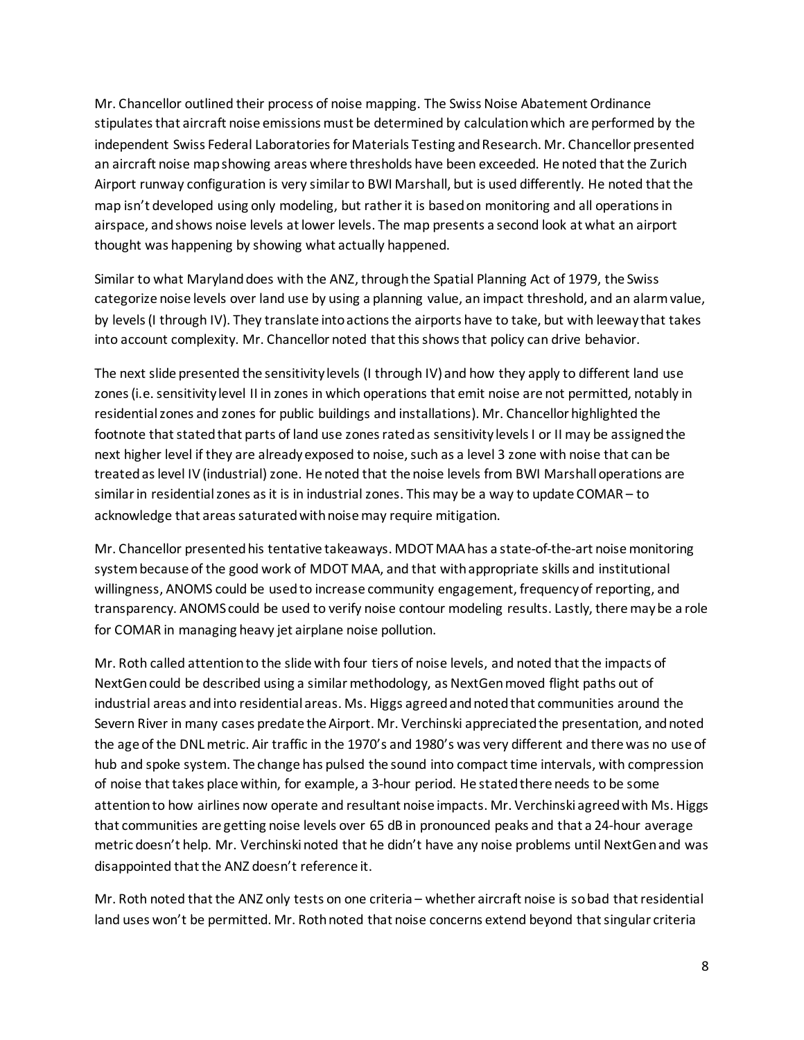Mr. Chancellor outlined their process of noise mapping. The Swiss Noise Abatement Ordinance stipulates that aircraft noise emissions must be determined by calculation which are performed by the independent Swiss Federal Laboratories for Materials Testing and Research. Mr. Chancellor presented an aircraft noise map showing areas where thresholds have been exceeded. He noted that the Zurich Airport runway configuration is very similar to BWI Marshall, but is used differently. He noted that the map isn't developed using only modeling, but rather it is based on monitoring and all operations in airspace, and shows noise levels at lower levels. The map presents a second look at what an airport thought was happening by showing what actually happened.

Similar to what Maryland does with the ANZ, through the Spatial Planning Act of 1979, the Swiss categorize noise levels over land use by using a planning value, an impact threshold, and an alarm value, by levels (I through IV). They translate into actions the airports have to take, but with leeway that takes into account complexity. Mr. Chancellor noted that this shows that policy can drive behavior.

The next slide presented the sensitivity levels (I through IV) and how they apply to different land use zones (i.e. sensitivity level II in zones in which operations that emit noise are not permitted, notably in residential zones and zones for public buildings and installations). Mr. Chancellor highlighted the footnote that stated that parts of land use zones rated as sensitivity levels I or II may be assigned the next higher level if they are already exposed to noise, such as a level 3 zone with noise that can be treated as level IV (industrial) zone. He noted that the noise levels from BWI Marshall operations are similar in residential zones as it is in industrial zones. This may be a way to update COMAR – to acknowledge that areas saturated with noise may require mitigation.

Mr. Chancellor presented his tentative takeaways. MDOT MAA has a state-of-the-art noise monitoring system because of the good work of MDOT MAA, and that with appropriate skills and institutional willingness, ANOMS could be used to increase community engagement, frequency of reporting, and transparency. ANOMS could be used to verify noise contour modeling results. Lastly, there may be a role for COMAR in managing heavy jet airplane noise pollution.

Mr. Roth called attention to the slide with four tiers of noise levels, and noted that the impacts of NextGen could be described using a similar methodology, as NextGen moved flight paths out of industrial areas and into residential areas. Ms. Higgs agreed and noted that communities around the Severn River in many cases predate the Airport. Mr. Verchinski appreciated the presentation, and noted the age of the DNL metric. Air traffic in the 1970's and 1980's was very different and there was no use of hub and spoke system. The change has pulsed the sound into compact time intervals, with compression of noise that takes place within, for example, a 3-hour period. He stated there needs to be some attention to how airlines now operate and resultant noise impacts. Mr. Verchinski agreed with Ms. Higgs that communities are getting noise levels over 65 dB in pronounced peaks and that a 24-hour average metric doesn't help. Mr. Verchinski noted that he didn't have any noise problems until NextGen and was disappointed that the ANZ doesn't reference it.

Mr. Roth noted that the ANZ only tests on one criteria – whether aircraft noise is sobad that residential land uses won't be permitted. Mr. Roth noted that noise concerns extend beyond that singular criteria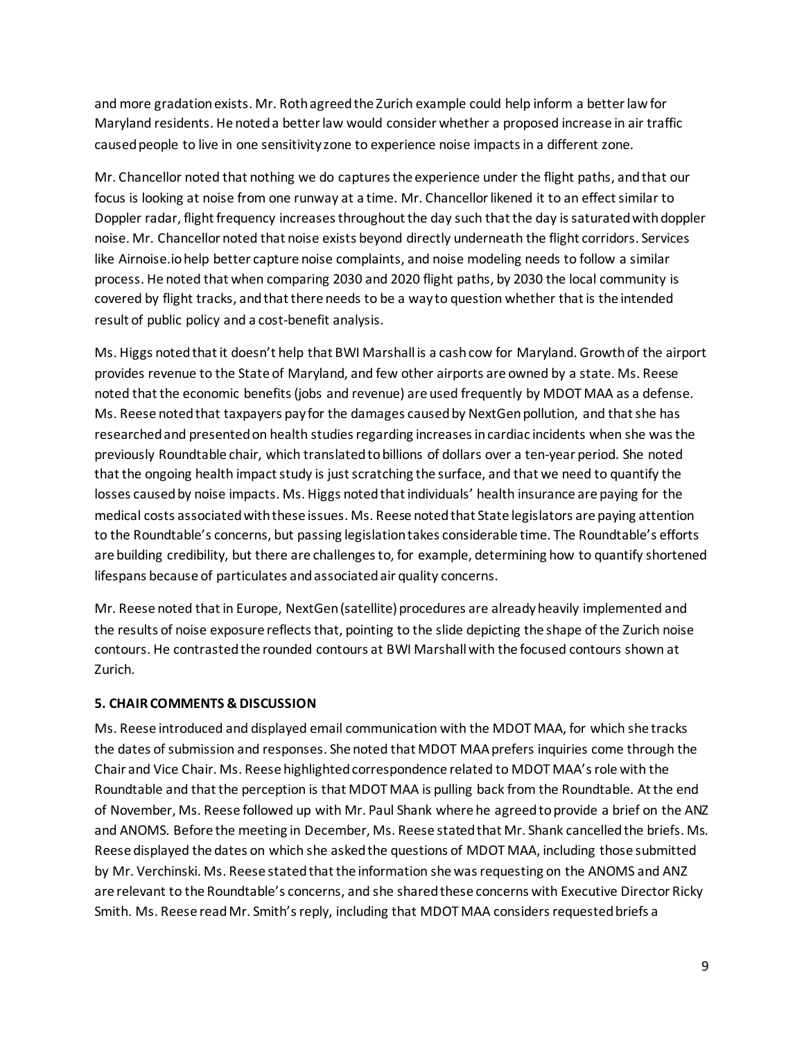and more gradation exists. Mr. Roth agreed the Zurich example could help inform a better law for Maryland residents. He noted a better law would consider whether a proposed increase in air traffic caused people to live in one sensitivity zone to experience noise impacts in a different zone.

Mr. Chancellor noted that nothing we do captures the experience under the flight paths, and that our focus is looking at noise from one runway at a time. Mr. Chancellor likened it to an effect similar to Doppler radar, flight frequency increases throughout the day such that the day is saturated with doppler noise. Mr. Chancellor noted that noise exists beyond directly underneath the flight corridors. Services like Airnoise.io help better capture noise complaints, and noise modeling needs to follow a similar process. He noted that when comparing 2030 and 2020 flight paths, by 2030 the local community is covered by flight tracks, and that there needs to be a way to question whether that is the intended result of public policy and a cost-benefit analysis.

Ms. Higgs noted that it doesn't help that BWI Marshall is a cash cow for Maryland. Growth of the airport provides revenue to the State of Maryland, and few other airports are owned by a state. Ms. Reese noted that the economic benefits (jobs and revenue) are used frequently by MDOT MAA as a defense. Ms. Reese noted that taxpayers pay for the damages caused by NextGen pollution, and that she has researched and presented on health studies regarding increases in cardiac incidents when she was the previously Roundtable chair, which translated to billions of dollars over a ten-year period. She noted that the ongoing health impact study is just scratching the surface, and that we need to quantify the losses caused by noise impacts. Ms. Higgs noted that individuals' health insurance are paying for the medical costs associated with these issues. Ms. Reese noted that State legislators are paying attention to the Roundtable's concerns, but passing legislation takes considerable time. The Roundtable's efforts are building credibility, but there are challenges to, for example, determining how to quantify shortened lifespans because of particulates and associated air quality concerns.

Mr. Reese noted that in Europe, NextGen (satellite) procedures are already heavily implemented and the results of noise exposure reflects that, pointing to the slide depicting the shape of the Zurich noise contours. He contrasted the rounded contours at BWI Marshall with the focused contours shown at Zurich.

## **5. CHAIR COMMENTS & DISCUSSION**

Ms. Reese introduced and displayed email communication with the MDOT MAA, for which she tracks the dates of submission and responses. She noted that MDOT MAA prefers inquiries come through the Chair and Vice Chair. Ms. Reese highlighted correspondence related to MDOT MAA's role with the Roundtable and that the perception is that MDOT MAA is pulling back from the Roundtable. At the end of November, Ms. Reese followed up with Mr. Paul Shank where he agreed to provide a brief on the ANZ and ANOMS. Before the meeting in December, Ms. Reese stated that Mr. Shank cancelled the briefs. Ms. Reese displayed the dates on which she asked the questions of MDOT MAA, including those submitted by Mr. Verchinski. Ms. Reese stated that the information she was requesting on the ANOMS and ANZ are relevant to the Roundtable's concerns, and she shared these concerns with Executive Director Ricky Smith. Ms. Reese read Mr. Smith's reply, including that MDOT MAA considers requested briefs a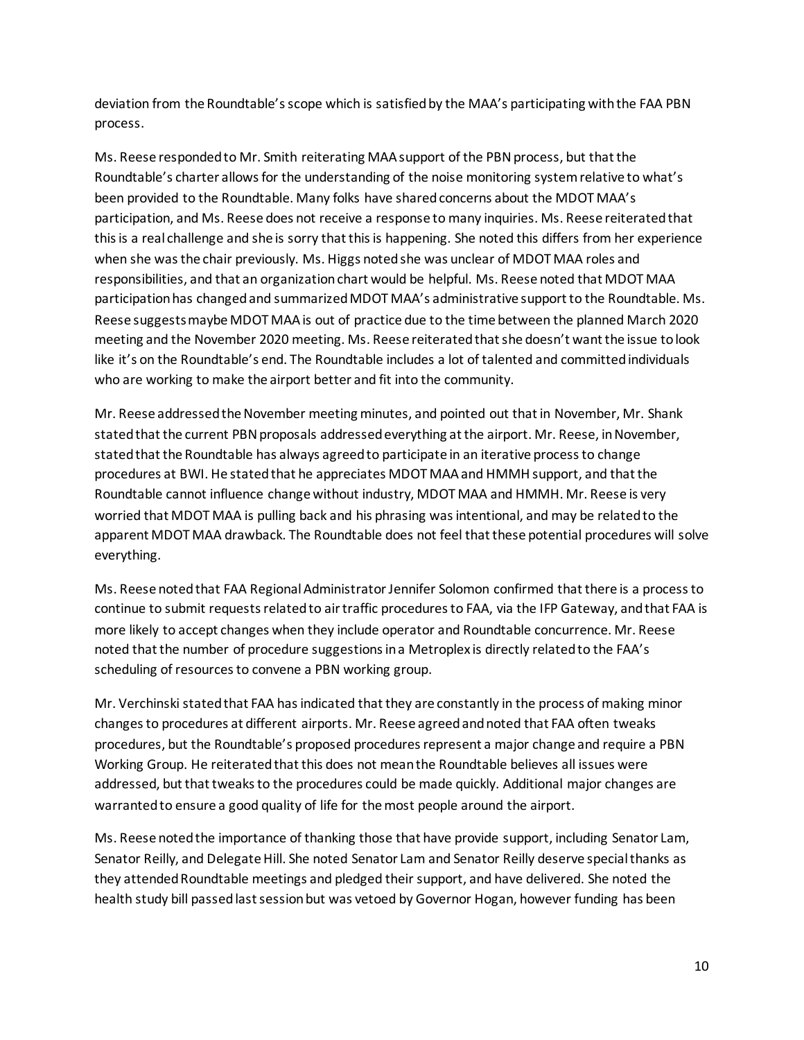deviation from the Roundtable's scope which is satisfied by the MAA's participating with the FAA PBN process.

Ms. Reese responded to Mr. Smith reiterating MAA support of the PBN process, but that the Roundtable's charter allows for the understanding of the noise monitoring system relative to what's been provided to the Roundtable. Many folks have shared concerns about the MDOT MAA's participation, and Ms. Reese does not receive a response to many inquiries. Ms. Reese reiterated that this is a real challenge and she is sorry that this is happening. She noted this differs from her experience when she was the chair previously. Ms. Higgs noted she was unclear of MDOT MAA roles and responsibilities, and that an organization chart would be helpful. Ms. Reese noted that MDOT MAA participation has changed and summarized MDOT MAA's administrative support to the Roundtable. Ms. Reese suggests maybe MDOT MAA is out of practice due to the time between the planned March 2020 meeting and the November 2020 meeting. Ms. Reese reiterated that she doesn't want the issue to look like it's on the Roundtable's end. The Roundtable includes a lot of talented and committed individuals who are working to make the airport better and fit into the community.

Mr. Reese addressed the November meeting minutes, and pointed out that in November, Mr. Shank stated that the current PBN proposals addressed everything at the airport. Mr. Reese, in November, stated that the Roundtable has always agreed to participate in an iterative process to change procedures at BWI. He stated that he appreciates MDOT MAA and HMMH support, and that the Roundtable cannot influence change without industry, MDOT MAA and HMMH. Mr. Reese is very worried that MDOT MAA is pulling back and his phrasing was intentional, and may be related to the apparent MDOT MAA drawback. The Roundtable does not feel that these potential procedures will solve everything.

Ms. Reese noted that FAA Regional Administrator Jennifer Solomon confirmed that there is a process to continue to submit requests related to air traffic procedures to FAA, via the IFP Gateway, and that FAA is more likely to accept changes when they include operator and Roundtable concurrence. Mr. Reese noted that the number of procedure suggestions in a Metroplex is directly related to the FAA's scheduling of resources to convene a PBN working group.

Mr. Verchinski stated that FAA has indicated that they are constantly in the process of making minor changesto procedures at different airports. Mr. Reese agreed and noted that FAA often tweaks procedures, but the Roundtable's proposed proceduresrepresent a major change and require a PBN Working Group. He reiterated that this does not mean the Roundtable believes all issues were addressed, but that tweaks to the procedures could be made quickly. Additional major changes are warranted to ensure a good quality of life for the most people around the airport.

Ms. Reese noted the importance of thanking those that have provide support, including Senator Lam, Senator Reilly, and Delegate Hill. She noted Senator Lam and Senator Reilly deserve special thanks as they attended Roundtable meetings and pledged their support, and have delivered. She noted the health study bill passed last session but was vetoed by Governor Hogan, however funding has been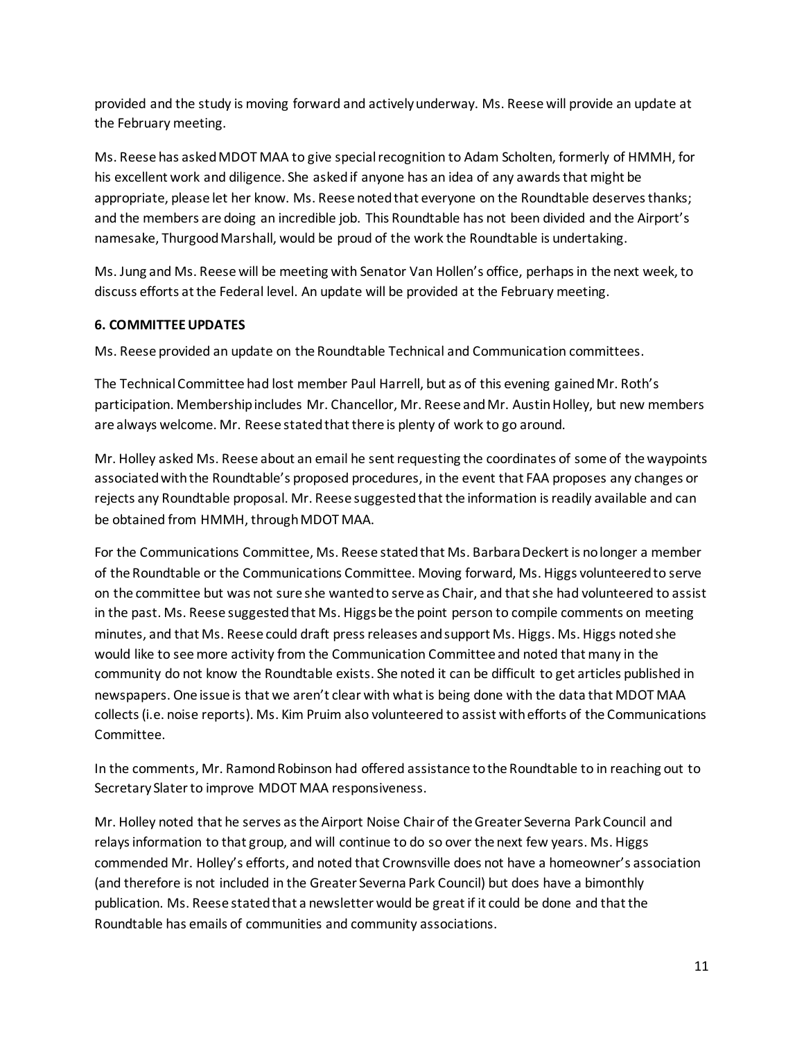provided and the study is moving forward and actively underway. Ms. Reese will provide an update at the February meeting.

Ms. Reese has asked MDOT MAA to give special recognition to Adam Scholten, formerly of HMMH, for his excellent work and diligence. She asked if anyone has an idea of any awards that might be appropriate, please let her know. Ms. Reese noted that everyone on the Roundtable deserves thanks; and the members are doing an incredible job. This Roundtable has not been divided and the Airport's namesake, Thurgood Marshall, would be proud of the work the Roundtable is undertaking.

Ms. Jung and Ms. Reese will be meeting with Senator Van Hollen's office, perhaps in the next week, to discuss efforts at the Federal level. An update will be provided at the February meeting.

# **6. COMMITTEEUPDATES**

Ms. Reese provided an update on the Roundtable Technical and Communication committees.

The Technical Committee had lost member Paul Harrell, but as of this evening gained Mr. Roth's participation. Membership includes Mr. Chancellor, Mr. Reese and Mr. Austin Holley, but new members are always welcome. Mr. Reese stated that there is plenty of work to go around.

Mr. Holley asked Ms. Reese about an email he sent requesting the coordinates of some of the waypoints associated with the Roundtable's proposed procedures, in the event that FAA proposes any changes or rejects any Roundtable proposal. Mr. Reese suggested that the information is readily available and can be obtained from HMMH, through MDOT MAA.

For the Communications Committee, Ms. Reese stated that Ms. Barbara Deckert is no longer a member of the Roundtable or the Communications Committee. Moving forward, Ms. Higgs volunteered to serve on the committee but was not sure she wanted to serve as Chair, and that she had volunteered to assist in the past. Ms. Reese suggested that Ms. Higgs be the point person to compile comments on meeting minutes, and that Ms. Reese could draft press releases and support Ms. Higgs. Ms. Higgs noted she would like to see more activity from the Communication Committee and noted that many in the community do not know the Roundtable exists. She noted it can be difficult to get articles published in newspapers. One issue is that we aren't clear with what is being done with the data that MDOT MAA collects (i.e. noise reports). Ms. Kim Pruim also volunteered to assist with efforts of the Communications Committee.

In the comments, Mr. Ramond Robinson had offered assistance to the Roundtable to in reaching out to Secretary Slater to improve MDOT MAA responsiveness.

Mr. Holley noted that he serves as the Airport Noise Chair of the Greater Severna Park Council and relays information to that group, and will continue to do so over the next few years. Ms. Higgs commended Mr. Holley's efforts, and noted that Crownsville does not have a homeowner's association (and therefore is not included in the Greater Severna Park Council) but does have a bimonthly publication. Ms. Reese stated that a newsletter would be great if it could be done and that the Roundtable has emails of communities and community associations.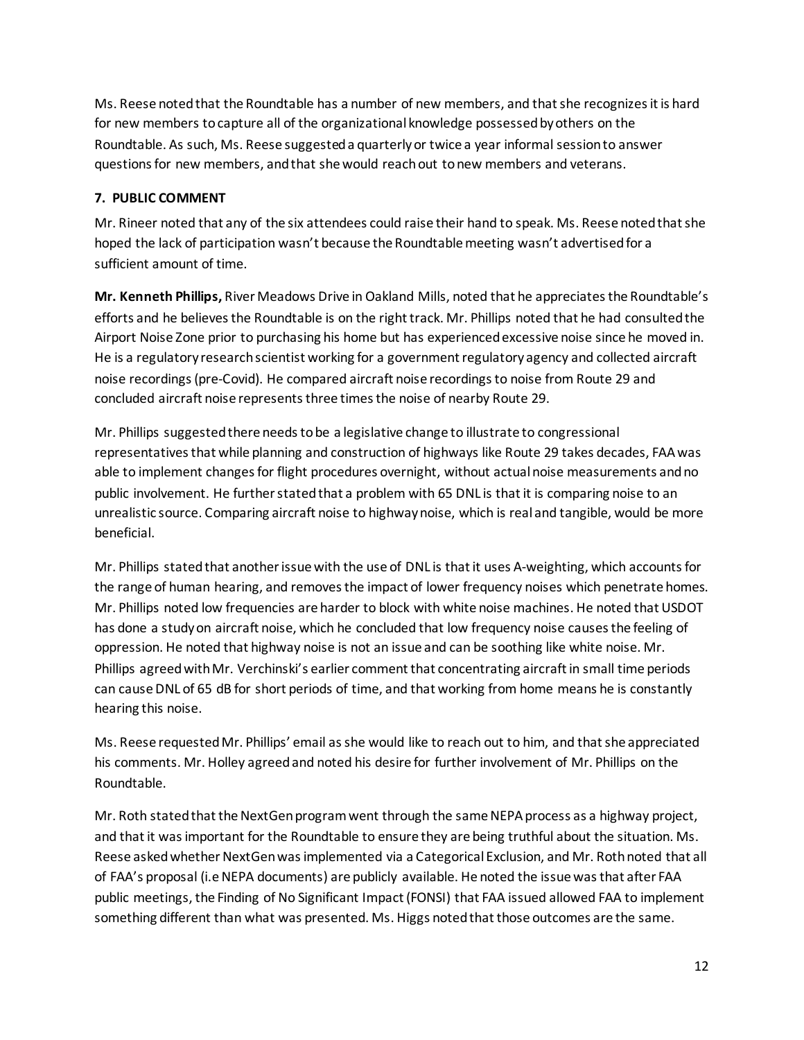Ms. Reese noted that the Roundtable has a number of new members, and that she recognizes it is hard for new members to capture all of the organizational knowledge possessed by others on the Roundtable. As such, Ms. Reese suggested a quarterly or twice a year informal session to answer questions for new members, and that she would reach out to new members and veterans.

# **7. PUBLIC COMMENT**

Mr. Rineer noted that any of the six attendees could raise their hand to speak. Ms. Reese noted that she hoped the lack of participation wasn't because the Roundtable meeting wasn't advertised for a sufficient amount of time.

**Mr. Kenneth Phillips,** River Meadows Drive in Oakland Mills, noted that he appreciatesthe Roundtable's efforts and he believes the Roundtable is on the right track. Mr. Phillips noted that he had consulted the Airport Noise Zone prior to purchasing his home but has experienced excessive noise since he moved in. He is a regulatory research scientist working for a government regulatory agency and collected aircraft noise recordings (pre-Covid). He compared aircraft noise recordings to noise from Route 29 and concluded aircraft noise represents three times the noise of nearby Route 29.

Mr. Phillips suggested there needs to be a legislative change to illustrate to congressional representatives that while planning and construction of highways like Route 29 takes decades, FAA was able to implement changes for flight procedures overnight, without actual noise measurements and no public involvement. He further stated that a problem with 65 DNL is that it is comparing noise to an unrealistic source. Comparing aircraft noise to highway noise, which is real and tangible, would be more beneficial.

Mr. Phillips stated that another issue with the use of DNL is that it uses A-weighting, which accounts for the range of human hearing, and removes the impact of lower frequency noises which penetrate homes. Mr. Phillips noted low frequencies are harder to block with white noise machines. He noted that USDOT has done a study on aircraft noise, which he concluded that low frequency noise causes the feeling of oppression. He noted that highway noise is not an issue and can be soothing like white noise. Mr. Phillips agreed with Mr. Verchinski's earlier comment that concentrating aircraft in small time periods can cause DNL of 65 dB for short periods of time, and that working from home means he is constantly hearing this noise.

Ms. Reese requested Mr. Phillips' email as she would like to reach out to him, and that she appreciated his comments. Mr. Holley agreed and noted his desire for further involvement of Mr. Phillips on the Roundtable.

Mr. Roth stated that the NextGen program went through the same NEPA process as a highway project, and that it was important for the Roundtable to ensure they are being truthful about the situation. Ms. Reese asked whether NextGen was implemented via a Categorical Exclusion, and Mr. Roth noted that all of FAA's proposal (i.e NEPA documents) are publicly available. He noted the issue was that after FAA public meetings, the Finding of No Significant Impact(FONSI) that FAA issued allowed FAA to implement something different than what was presented. Ms. Higgs noted that those outcomes are the same.